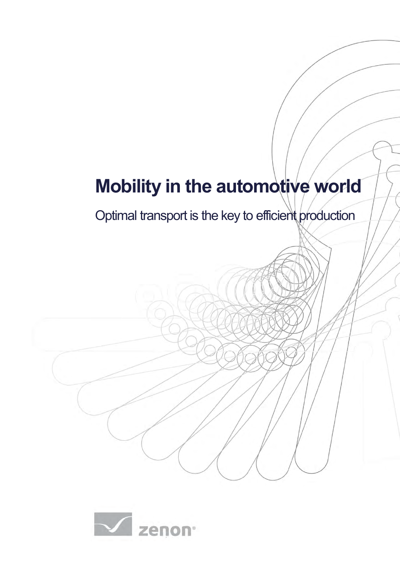# **Mobility in the automotive world**

Optimal transport is the key to efficient production

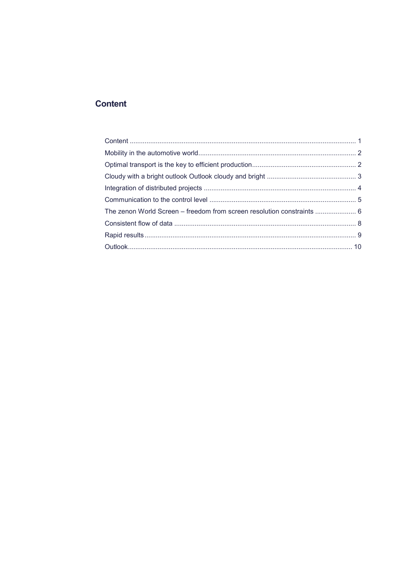# <span id="page-1-0"></span>**Content**

| The zenon World Screen - freedom from screen resolution constraints  6 |  |
|------------------------------------------------------------------------|--|
|                                                                        |  |
|                                                                        |  |
|                                                                        |  |
|                                                                        |  |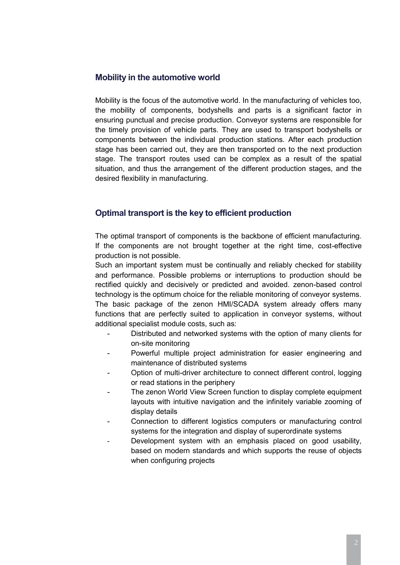# <span id="page-2-0"></span>**Mobility in the automotive world**

Mobility is the focus of the automotive world. In the manufacturing of vehicles too, the mobility of components, bodyshells and parts is a significant factor in ensuring punctual and precise production. Conveyor systems are responsible for the timely provision of vehicle parts. They are used to transport bodyshells or components between the individual production stations. After each production stage has been carried out, they are then transported on to the next production stage. The transport routes used can be complex as a result of the spatial situation, and thus the arrangement of the different production stages, and the desired flexibility in manufacturing.

# <span id="page-2-1"></span>**Optimal transport is the key to efficient production**

The optimal transport of components is the backbone of efficient manufacturing. If the components are not brought together at the right time, cost-effective production is not possible.

Such an important system must be continually and reliably checked for stability and performance. Possible problems or interruptions to production should be rectified quickly and decisively or predicted and avoided. zenon-based control technology is the optimum choice for the reliable monitoring of conveyor systems. The basic package of the zenon HMI/SCADA system already offers many functions that are perfectly suited to application in conveyor systems, without additional specialist module costs, such as:

- Distributed and networked systems with the option of many clients for on-site monitoring
- Powerful multiple project administration for easier engineering and maintenance of distributed systems
- Option of multi-driver architecture to connect different control, logging or read stations in the periphery
- The zenon World View Screen function to display complete equipment layouts with intuitive navigation and the infinitely variable zooming of display details
- Connection to different logistics computers or manufacturing control systems for the integration and display of superordinate systems
- Development system with an emphasis placed on good usability, based on modern standards and which supports the reuse of objects when configuring projects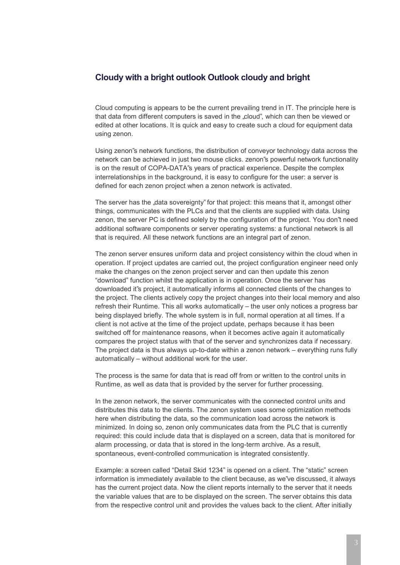#### <span id="page-3-0"></span>**Cloudy with a bright outlook Outlook cloudy and bright**

Cloud computing is appears to be the current prevailing trend in IT. The principle here is that data from different computers is saved in the "cloud", which can then be viewed or edited at other locations. It is quick and easy to create such a cloud for equipment data using zenon.

Using zenon"s network functions, the distribution of conveyor technology data across the network can be achieved in just two mouse clicks. zenon"s powerful network functionality is on the result of COPA-DATA"s years of practical experience. Despite the complex interrelationships in the background, it is easy to configure for the user: a server is defined for each zenon project when a zenon network is activated.

The server has the "data sovereignty" for that project: this means that it, amongst other things, communicates with the PLCs and that the clients are supplied with data. Using zenon, the server PC is defined solely by the configuration of the project. You don"t need additional software components or server operating systems: a functional network is all that is required. All these network functions are an integral part of zenon.

The zenon server ensures uniform data and project consistency within the cloud when in operation. If project updates are carried out, the project configuration engineer need only make the changes on the zenon project server and can then update this zenon "download" function whilst the application is in operation. Once the server has downloaded it"s project, it automatically informs all connected clients of the changes to the project. The clients actively copy the project changes into their local memory and also refresh their Runtime. This all works automatically – the user only notices a progress bar being displayed briefly. The whole system is in full, normal operation at all times. If a client is not active at the time of the project update, perhaps because it has been switched off for maintenance reasons, when it becomes active again it automatically compares the project status with that of the server and synchronizes data if necessary. The project data is thus always up-to-date within a zenon network – everything runs fully automatically – without additional work for the user.

The process is the same for data that is read off from or written to the control units in Runtime, as well as data that is provided by the server for further processing.

In the zenon network, the server communicates with the connected control units and distributes this data to the clients. The zenon system uses some optimization methods here when distributing the data, so the communication load across the network is minimized. In doing so, zenon only communicates data from the PLC that is currently required: this could include data that is displayed on a screen, data that is monitored for alarm processing, or data that is stored in the long-term archive. As a result, spontaneous, event-controlled communication is integrated consistently.

Example: a screen called "Detail Skid 1234" is opened on a client. The "static" screen information is immediately available to the client because, as we"ve discussed, it always has the current project data. Now the client reports internally to the server that it needs the variable values that are to be displayed on the screen. The server obtains this data from the respective control unit and provides the values back to the client. After initially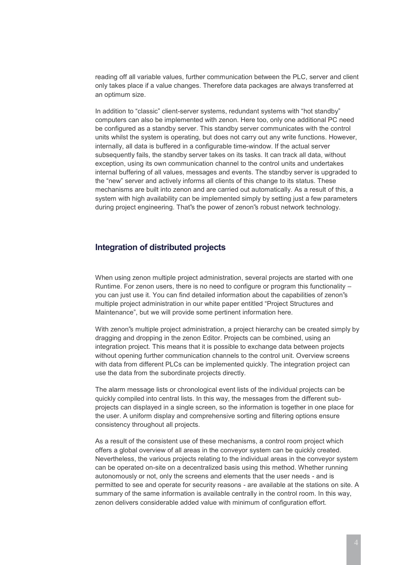reading off all variable values, further communication between the PLC, server and client only takes place if a value changes. Therefore data packages are always transferred at an optimum size.

In addition to "classic" client-server systems, redundant systems with "hot standby" computers can also be implemented with zenon. Here too, only one additional PC need be configured as a standby server. This standby server communicates with the control units whilst the system is operating, but does not carry out any write functions. However, internally, all data is buffered in a configurable time-window. If the actual server subsequently fails, the standby server takes on its tasks. It can track all data, without exception, using its own communication channel to the control units and undertakes internal buffering of all values, messages and events. The standby server is upgraded to the "new" server and actively informs all clients of this change to its status. These mechanisms are built into zenon and are carried out automatically. As a result of this, a system with high availability can be implemented simply by setting just a few parameters during project engineering. That"s the power of zenon"s robust network technology.

# <span id="page-4-0"></span>**Integration of distributed projects**

When using zenon multiple project administration, several projects are started with one Runtime. For zenon users, there is no need to configure or program this functionality – you can just use it. You can find detailed information about the capabilities of zenon"s multiple project administration in our white paper entitled "Project Structures and Maintenance", but we will provide some pertinent information here.

With zenon"s multiple project administration, a project hierarchy can be created simply by dragging and dropping in the zenon Editor. Projects can be combined, using an integration project. This means that it is possible to exchange data between projects without opening further communication channels to the control unit. Overview screens with data from different PLCs can be implemented quickly. The integration project can use the data from the subordinate projects directly.

The alarm message lists or chronological event lists of the individual projects can be quickly compiled into central lists. In this way, the messages from the different subprojects can displayed in a single screen, so the information is together in one place for the user. A uniform display and comprehensive sorting and filtering options ensure consistency throughout all projects.

As a result of the consistent use of these mechanisms, a control room project which offers a global overview of all areas in the conveyor system can be quickly created. Nevertheless, the various projects relating to the individual areas in the conveyor system can be operated on-site on a decentralized basis using this method. Whether running autonomously or not, only the screens and elements that the user needs - and is permitted to see and operate for security reasons - are available at the stations on site. A summary of the same information is available centrally in the control room. In this way, zenon delivers considerable added value with minimum of configuration effort.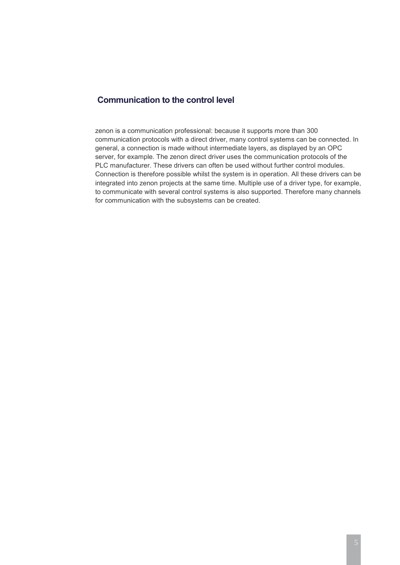# <span id="page-5-0"></span>**Communication to the control level**

zenon is a communication professional: because it supports more than 300 communication protocols with a direct driver, many control systems can be connected. In general, a connection is made without intermediate layers, as displayed by an OPC server, for example. The zenon direct driver uses the communication protocols of the PLC manufacturer. These drivers can often be used without further control modules. Connection is therefore possible whilst the system is in operation. All these drivers can be integrated into zenon projects at the same time. Multiple use of a driver type, for example, to communicate with several control systems is also supported. Therefore many channels for communication with the subsystems can be created.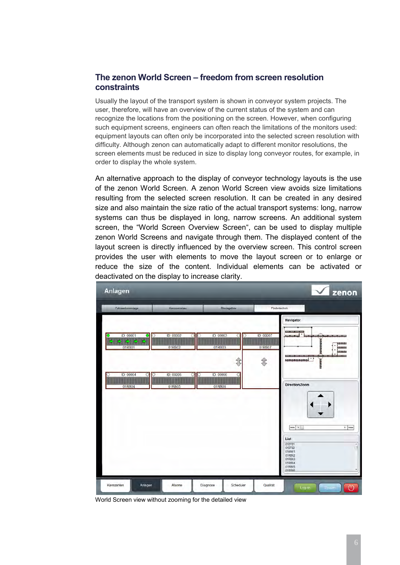# <span id="page-6-0"></span>**The zenon World Screen – freedom from screen resolution constraints**

Usually the layout of the transport system is shown in conveyor system projects. The user, therefore, will have an overview of the current status of the system and can recognize the locations from the positioning on the screen. However, when configuring such equipment screens, engineers can often reach the limitations of the monitors used: equipment layouts can often only be incorporated into the selected screen resolution with difficulty. Although zenon can automatically adapt to different monitor resolutions, the screen elements must be reduced in size to display long conveyor routes, for example, in order to display the whole system.

An alternative approach to the display of conveyor technology layouts is the use of the zenon World Screen. A zenon World Screen view avoids size limitations resulting from the selected screen resolution. It can be created in any desired size and also maintain the size ratio of the actual transport systems: long, narrow systems can thus be displayed in long, narrow screens. An additional system screen, the "World Screen Overview Screen", can be used to display multiple zenon World Screens and navigate through them. The displayed content of the layout screen is directly influenced by the overview screen. This control screen provides the user with elements to move the layout screen or to enlarge or reduce the size of the content. Individual elements can be activated or deactivated on the display to increase clarity.



World Screen view without zooming for the detailed view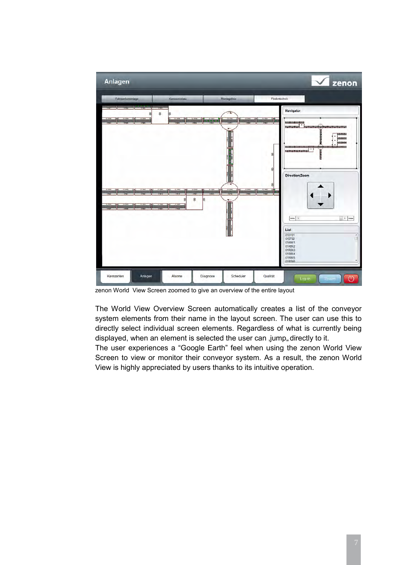

zenon World View Screen zoomed to give an overview of the entire layout

The World View Overview Screen automatically creates a list of the conveyor system elements from their name in the layout screen. The user can use this to directly select individual screen elements. Regardless of what is currently being displayed, when an element is selected the user can ,jump, directly to it.

The user experiences a "Google Earth" feel when using the zenon World View Screen to view or monitor their conveyor system. As a result, the zenon World View is highly appreciated by users thanks to its intuitive operation.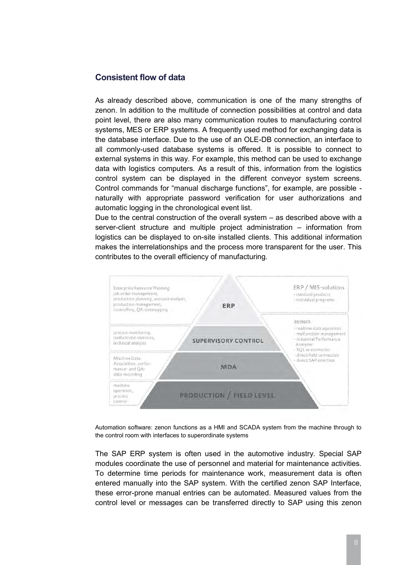## <span id="page-8-0"></span>**Consistent flow of data**

As already described above, communication is one of the many strengths of zenon. In addition to the multitude of connection possibilities at control and data point level, there are also many communication routes to manufacturing control systems, MES or ERP systems. A frequently used method for exchanging data is the database interface. Due to the use of an OLE-DB connection, an interface to all commonly-used database systems is offered. It is possible to connect to external systems in this way. For example, this method can be used to exchange data with logistics computers. As a result of this, information from the logistics control system can be displayed in the different conveyor system screens. Control commands for "manual discharge functions", for example, are possible naturally with appropriate password verification for user authorizations and automatic logging in the chronological event list.

Due to the central construction of the overall system – as described above with a server-client structure and multiple project administration – information from logistics can be displayed to on-site installed clients. This additional information makes the interrelationships and the process more transparent for the user. This contributes to the overall efficiency of manufacturing.



Automation software: zenon functions as a HMI and SCADA system from the machine through to the control room with interfaces to superordinate systems

The SAP ERP system is often used in the automotive industry. Special SAP modules coordinate the use of personnel and material for maintenance activities. To determine time periods for maintenance work, measurement data is often entered manually into the SAP system. With the certified zenon SAP Interface, these error-prone manual entries can be automated. Measured values from the control level or messages can be transferred directly to SAP using this zenon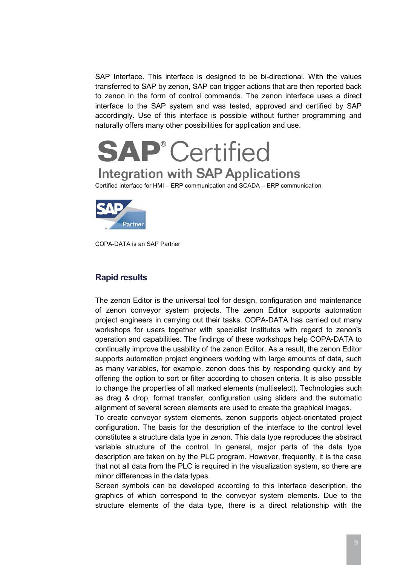SAP Interface. This interface is designed to be bi-directional. With the values transferred to SAP by zenon, SAP can trigger actions that are then reported back to zenon in the form of control commands. The zenon interface uses a direct interface to the SAP system and was tested, approved and certified by SAP accordingly. Use of this interface is possible without further programming and naturally offers many other possibilities for application and use.

# **SAP**<sup>*c*</sup> Certified</sup> **Integration with SAP Applications**

Certified interface for HMI – ERP communication and SCADA – ERP communication



COPA-DATA is an SAP Partner

# <span id="page-9-0"></span>**Rapid results**

The zenon Editor is the universal tool for design, configuration and maintenance of zenon conveyor system projects. The zenon Editor supports automation project engineers in carrying out their tasks. COPA-DATA has carried out many workshops for users together with specialist Institutes with regard to zenon"s operation and capabilities. The findings of these workshops help COPA-DATA to continually improve the usability of the zenon Editor. As a result, the zenon Editor supports automation project engineers working with large amounts of data, such as many variables, for example. zenon does this by responding quickly and by offering the option to sort or filter according to chosen criteria. It is also possible to change the properties of all marked elements (multiselect). Technologies such as drag & drop, format transfer, configuration using sliders and the automatic alignment of several screen elements are used to create the graphical images.

To create conveyor system elements, zenon supports object-orientated project configuration. The basis for the description of the interface to the control level constitutes a structure data type in zenon. This data type reproduces the abstract variable structure of the control. In general, major parts of the data type description are taken on by the PLC program. However, frequently, it is the case that not all data from the PLC is required in the visualization system, so there are minor differences in the data types.

Screen symbols can be developed according to this interface description, the graphics of which correspond to the conveyor system elements. Due to the structure elements of the data type, there is a direct relationship with the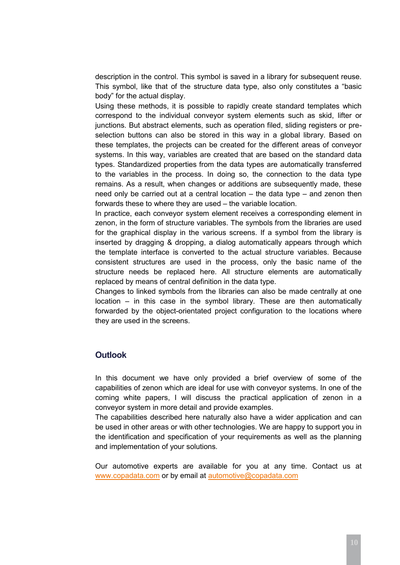description in the control. This symbol is saved in a library for subsequent reuse. This symbol, like that of the structure data type, also only constitutes a "basic body" for the actual display.

Using these methods, it is possible to rapidly create standard templates which correspond to the individual conveyor system elements such as skid, lifter or junctions. But abstract elements, such as operation filed, sliding registers or preselection buttons can also be stored in this way in a global library. Based on these templates, the projects can be created for the different areas of conveyor systems. In this way, variables are created that are based on the standard data types. Standardized properties from the data types are automatically transferred to the variables in the process. In doing so, the connection to the data type remains. As a result, when changes or additions are subsequently made, these need only be carried out at a central location – the data type – and zenon then forwards these to where they are used – the variable location.

In practice, each conveyor system element receives a corresponding element in zenon, in the form of structure variables. The symbols from the libraries are used for the graphical display in the various screens. If a symbol from the library is inserted by dragging & dropping, a dialog automatically appears through which the template interface is converted to the actual structure variables. Because consistent structures are used in the process, only the basic name of the structure needs be replaced here. All structure elements are automatically replaced by means of central definition in the data type.

Changes to linked symbols from the libraries can also be made centrally at one location – in this case in the symbol library. These are then automatically forwarded by the object-orientated project configuration to the locations where they are used in the screens.

# <span id="page-10-0"></span>**Outlook**

In this document we have only provided a brief overview of some of the capabilities of zenon which are ideal for use with conveyor systems. In one of the coming white papers, I will discuss the practical application of zenon in a conveyor system in more detail and provide examples.

The capabilities described here naturally also have a wider application and can be used in other areas or with other technologies. We are happy to support you in the identification and specification of your requirements as well as the planning and implementation of your solutions.

Our automotive experts are available for you at any time. Contact us at [www.copadata.com](http://www.copadata.com/) or by email at [automotive@copadata.com](mailto:automotive@copadata.com)